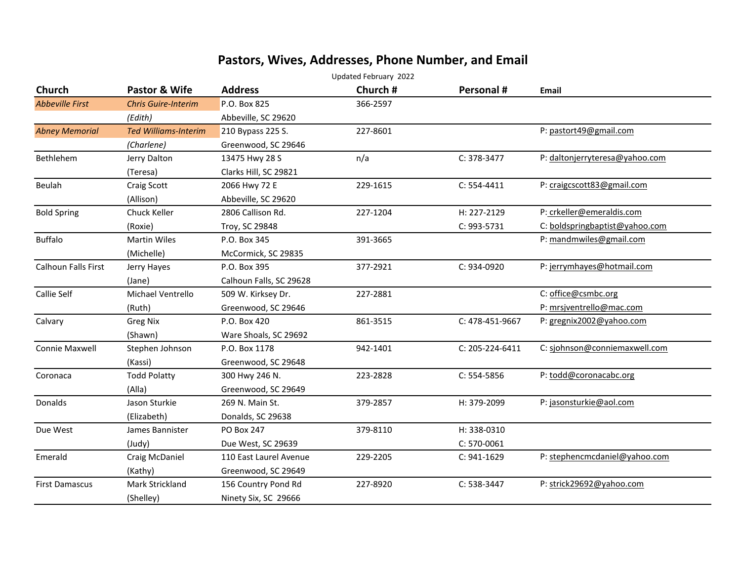## **Pastors, Wives, Addresses, Phone Number, and Email**

| Updated February 2022      |                             |                         |          |                 |                                |
|----------------------------|-----------------------------|-------------------------|----------|-----------------|--------------------------------|
| <b>Church</b>              | Pastor & Wife               | <b>Address</b>          | Church # | Personal #      | <b>Email</b>                   |
| <b>Abbeville First</b>     | <b>Chris Guire-Interim</b>  | P.O. Box 825            | 366-2597 |                 |                                |
|                            | (Edith)                     | Abbeville, SC 29620     |          |                 |                                |
| <b>Abney Memorial</b>      | <b>Ted Williams-Interim</b> | 210 Bypass 225 S.       | 227-8601 |                 | P: pastort49@gmail.com         |
|                            | (Charlene)                  | Greenwood, SC 29646     |          |                 |                                |
| Bethlehem                  | Jerry Dalton                | 13475 Hwy 28 S          | n/a      | $C: 378-3477$   | P: daltonjerryteresa@yahoo.com |
|                            | (Teresa)                    | Clarks Hill, SC 29821   |          |                 |                                |
| Beulah                     | Craig Scott                 | 2066 Hwy 72 E           | 229-1615 | $C: 554-4411$   | P: craigcscott83@gmail.com     |
|                            | (Allison)                   | Abbeville, SC 29620     |          |                 |                                |
| <b>Bold Spring</b>         | Chuck Keller                | 2806 Callison Rd.       | 227-1204 | H: 227-2129     | P: crkeller@emeraldis.com      |
|                            | (Roxie)                     | Troy, SC 29848          |          | C: 993-5731     | C: boldspringbaptist@yahoo.com |
| <b>Buffalo</b>             | <b>Martin Wiles</b>         | P.O. Box 345            | 391-3665 |                 | P: mandmwiles@gmail.com        |
|                            | (Michelle)                  | McCormick, SC 29835     |          |                 |                                |
| <b>Calhoun Falls First</b> | Jerry Hayes                 | P.O. Box 395            | 377-2921 | C: 934-0920     | P: jerrymhayes@hotmail.com     |
|                            | (Jane)                      | Calhoun Falls, SC 29628 |          |                 |                                |
| Callie Self                | Michael Ventrello           | 509 W. Kirksey Dr.      | 227-2881 |                 | C: office@csmbc.org            |
|                            | (Ruth)                      | Greenwood, SC 29646     |          |                 | P: mrsjventrello@mac.com       |
| Calvary                    | <b>Greg Nix</b>             | P.O. Box 420            | 861-3515 | C: 478-451-9667 | P: gregnix2002@yahoo.com       |
|                            | (Shawn)                     | Ware Shoals, SC 29692   |          |                 |                                |
| <b>Connie Maxwell</b>      | Stephen Johnson             | P.O. Box 1178           | 942-1401 | C: 205-224-6411 | C: sjohnson@conniemaxwell.com  |
|                            | (Kassi)                     | Greenwood, SC 29648     |          |                 |                                |
| Coronaca                   | <b>Todd Polatty</b>         | 300 Hwy 246 N.          | 223-2828 | $C: 554-5856$   | P: todd@coronacabc.org         |
|                            | (Alla)                      | Greenwood, SC 29649     |          |                 |                                |
| Donalds                    | Jason Sturkie               | 269 N. Main St.         | 379-2857 | H: 379-2099     | P: jasonsturkie@aol.com        |
|                            | (Elizabeth)                 | Donalds, SC 29638       |          |                 |                                |
| Due West                   | James Bannister             | <b>PO Box 247</b>       | 379-8110 | H: 338-0310     |                                |
|                            | (Judy)                      | Due West, SC 29639      |          | $C: 570-0061$   |                                |
| Emerald                    | Craig McDaniel              | 110 East Laurel Avenue  | 229-2205 | $C: 941 - 1629$ | P: stephencmcdaniel@yahoo.com  |
|                            | (Kathy)                     | Greenwood, SC 29649     |          |                 |                                |
| <b>First Damascus</b>      | Mark Strickland             | 156 Country Pond Rd     | 227-8920 | C: 538-3447     | P: strick29692@yahoo.com       |
|                            | (Shelley)                   | Ninety Six, SC 29666    |          |                 |                                |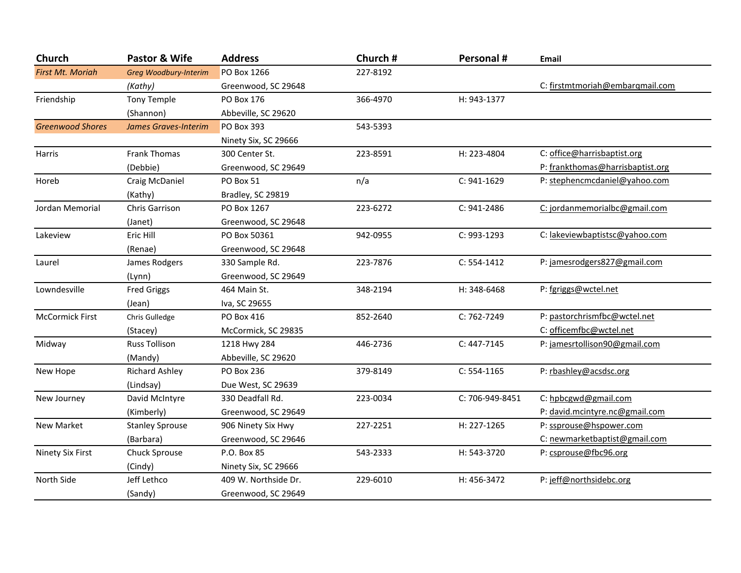| Church                  | Pastor & Wife                | <b>Address</b>       | Church # | Personal #      | Email                            |
|-------------------------|------------------------------|----------------------|----------|-----------------|----------------------------------|
| <b>First Mt. Moriah</b> | <b>Greg Woodbury-Interim</b> | <b>PO Box 1266</b>   | 227-8192 |                 |                                  |
|                         | (Kathy)                      | Greenwood, SC 29648  |          |                 | C: firstmtmoriah@embargmail.com  |
| Friendship              | <b>Tony Temple</b>           | PO Box 176           | 366-4970 | H: 943-1377     |                                  |
|                         | (Shannon)                    | Abbeville, SC 29620  |          |                 |                                  |
| <b>Greenwood Shores</b> | <b>James Graves-Interim</b>  | <b>PO Box 393</b>    | 543-5393 |                 |                                  |
|                         |                              | Ninety Six, SC 29666 |          |                 |                                  |
| Harris                  | <b>Frank Thomas</b>          | 300 Center St.       | 223-8591 | H: 223-4804     | C: office@harrisbaptist.org      |
|                         | (Debbie)                     | Greenwood, SC 29649  |          |                 | P: frankthomas@harrisbaptist.org |
| Horeb                   | Craig McDaniel               | PO Box 51            | n/a      | $C: 941 - 1629$ | P: stephencmcdaniel@yahoo.com    |
|                         | (Kathy)                      | Bradley, SC 29819    |          |                 |                                  |
| Jordan Memorial         | Chris Garrison               | PO Box 1267          | 223-6272 | $C: 941 - 2486$ | C: jordanmemorialbc@gmail.com    |
|                         | (Janet)                      | Greenwood, SC 29648  |          |                 |                                  |
| Lakeview                | Eric Hill                    | PO Box 50361         | 942-0955 | C: 993-1293     | C: lakeviewbaptistsc@yahoo.com   |
|                         | (Renae)                      | Greenwood, SC 29648  |          |                 |                                  |
| Laurel                  | James Rodgers                | 330 Sample Rd.       | 223-7876 | $C: 554-1412$   | P: jamesrodgers827@gmail.com     |
|                         | (Lynn)                       | Greenwood, SC 29649  |          |                 |                                  |
| Lowndesville            | <b>Fred Griggs</b>           | 464 Main St.         | 348-2194 | H: 348-6468     | P: fgriggs@wctel.net             |
|                         | (Jean)                       | Iva, SC 29655        |          |                 |                                  |
| <b>McCormick First</b>  | Chris Gulledge               | PO Box 416           | 852-2640 | C: 762-7249     | P: pastorchrismfbc@wctel.net     |
|                         | (Stacey)                     | McCormick, SC 29835  |          |                 | C: officemfbc@wctel.net          |
| Midway                  | <b>Russ Tollison</b>         | 1218 Hwy 284         | 446-2736 | C: 447-7145     | P: jamesrtollison90@gmail.com    |
|                         | (Mandy)                      | Abbeville, SC 29620  |          |                 |                                  |
| New Hope                | <b>Richard Ashley</b>        | PO Box 236           | 379-8149 | $C: 554-1165$   | P: rbashley@acsdsc.org           |
|                         | (Lindsay)                    | Due West, SC 29639   |          |                 |                                  |
| New Journey             | David McIntyre               | 330 Deadfall Rd.     | 223-0034 | C: 706-949-8451 | C: hpbcgwd@gmail.com             |
|                         | (Kimberly)                   | Greenwood, SC 29649  |          |                 | P: david.mcintyre.nc@gmail.com   |
| New Market              | <b>Stanley Sprouse</b>       | 906 Ninety Six Hwy   | 227-2251 | H: 227-1265     | P: ssprouse@hspower.com          |
|                         | (Barbara)                    | Greenwood, SC 29646  |          |                 | C: newmarketbaptist@gmail.com    |
| Ninety Six First        | Chuck Sprouse                | P.O. Box 85          | 543-2333 | H: 543-3720     | P: csprouse@fbc96.org            |
|                         | (Cindy)                      | Ninety Six, SC 29666 |          |                 |                                  |
| North Side              | Jeff Lethco                  | 409 W. Northside Dr. | 229-6010 | H: 456-3472     | P: jeff@northsidebc.org          |
|                         | (Sandy)                      | Greenwood, SC 29649  |          |                 |                                  |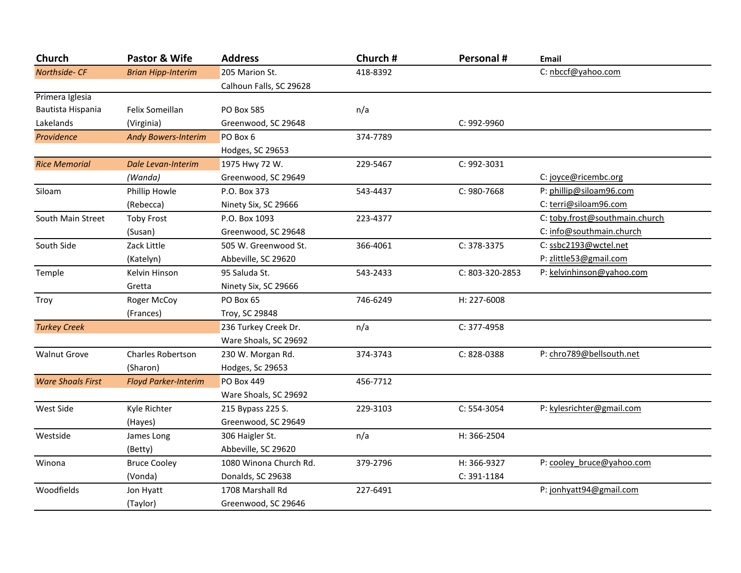| Church                   | Pastor & Wife               | <b>Address</b>          | Church # | Personal #      | <b>Email</b>                   |
|--------------------------|-----------------------------|-------------------------|----------|-----------------|--------------------------------|
| Northside- CF            | <b>Brian Hipp-Interim</b>   | 205 Marion St.          | 418-8392 |                 | C: nbccf@yahoo.com             |
|                          |                             | Calhoun Falls, SC 29628 |          |                 |                                |
| Primera Iglesia          |                             |                         |          |                 |                                |
| Bautista Hispania        | Felix Someillan             | <b>PO Box 585</b>       | n/a      |                 |                                |
| Lakelands                | (Virginia)                  | Greenwood, SC 29648     |          | C: 992-9960     |                                |
| Providence               | <b>Andy Bowers-Interim</b>  | PO Box 6                | 374-7789 |                 |                                |
|                          |                             | Hodges, SC 29653        |          |                 |                                |
| <b>Rice Memorial</b>     | Dale Levan-Interim          | 1975 Hwy 72 W.          | 229-5467 | C: 992-3031     |                                |
|                          | (Wanda)                     | Greenwood, SC 29649     |          |                 | C: joyce@ricembc.org           |
| Siloam                   | Phillip Howle               | P.O. Box 373            | 543-4437 | C: 980-7668     | P: phillip@siloam96.com        |
|                          | (Rebecca)                   | Ninety Six, SC 29666    |          |                 | C: terri@siloam96.com          |
| South Main Street        | <b>Toby Frost</b>           | P.O. Box 1093           | 223-4377 |                 | C: toby.frost@southmain.church |
|                          | (Susan)                     | Greenwood, SC 29648     |          |                 | C: info@southmain.church       |
| South Side               | Zack Little                 | 505 W. Greenwood St.    | 366-4061 | $C: 378-3375$   | C: ssbc2193@wctel.net          |
|                          | (Katelyn)                   | Abbeville, SC 29620     |          |                 | P: zlittle53@gmail.com         |
| Temple                   | Kelvin Hinson               | 95 Saluda St.           | 543-2433 | C: 803-320-2853 | P: kelvinhinson@yahoo.com      |
|                          | Gretta                      | Ninety Six, SC 29666    |          |                 |                                |
| Troy                     | Roger McCoy                 | PO Box 65               | 746-6249 | H: 227-6008     |                                |
|                          | (Frances)                   | Troy, SC 29848          |          |                 |                                |
| <b>Turkey Creek</b>      |                             | 236 Turkey Creek Dr.    | n/a      | C: 377-4958     |                                |
|                          |                             | Ware Shoals, SC 29692   |          |                 |                                |
| <b>Walnut Grove</b>      | <b>Charles Robertson</b>    | 230 W. Morgan Rd.       | 374-3743 | C: 828-0388     | P: chro789@bellsouth.net       |
|                          | (Sharon)                    | Hodges, Sc 29653        |          |                 |                                |
| <b>Ware Shoals First</b> | <b>Floyd Parker-Interim</b> | <b>PO Box 449</b>       | 456-7712 |                 |                                |
|                          |                             | Ware Shoals, SC 29692   |          |                 |                                |
| West Side                | Kyle Richter                | 215 Bypass 225 S.       | 229-3103 | C: 554-3054     | P: kylesrichter@gmail.com      |
|                          | (Hayes)                     | Greenwood, SC 29649     |          |                 |                                |
| Westside                 | James Long                  | 306 Haigler St.         | n/a      | H: 366-2504     |                                |
|                          | (Betty)                     | Abbeville, SC 29620     |          |                 |                                |
| Winona                   | <b>Bruce Cooley</b>         | 1080 Winona Church Rd.  | 379-2796 | H: 366-9327     | P: cooley bruce@yahoo.com      |
|                          | (Vonda)                     | Donalds, SC 29638       |          | C: 391-1184     |                                |
| Woodfields               | Jon Hyatt                   | 1708 Marshall Rd        | 227-6491 |                 | P: jonhyatt94@gmail.com        |
|                          | (Taylor)                    | Greenwood, SC 29646     |          |                 |                                |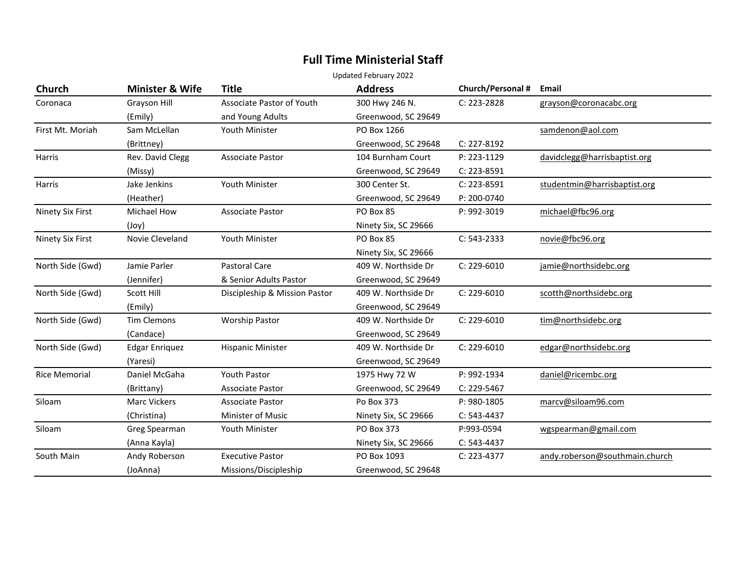## **Full Time Ministerial Staff**

Updated February 2022

| <b>Church</b>        | <b>Minister &amp; Wife</b> | <b>Title</b>                  | <b>Address</b>       | Church/Personal # | Email                          |
|----------------------|----------------------------|-------------------------------|----------------------|-------------------|--------------------------------|
| Coronaca             | Grayson Hill               | Associate Pastor of Youth     | 300 Hwy 246 N.       | C: 223-2828       | grayson@coronacabc.org         |
|                      | (Emily)                    | and Young Adults              | Greenwood, SC 29649  |                   |                                |
| First Mt. Moriah     | Sam McLellan               | Youth Minister                | PO Box 1266          |                   | samdenon@aol.com               |
|                      | (Brittney)                 |                               | Greenwood, SC 29648  | C: 227-8192       |                                |
| Harris               | Rev. David Clegg           | <b>Associate Pastor</b>       | 104 Burnham Court    | P: 223-1129       | davidclegg@harrisbaptist.org   |
|                      | (Missy)                    |                               | Greenwood, SC 29649  | C: 223-8591       |                                |
| Harris               | Jake Jenkins               | <b>Youth Minister</b>         | 300 Center St.       | C: 223-8591       | studentmin@harrisbaptist.org   |
|                      | (Heather)                  |                               | Greenwood, SC 29649  | P: 200-0740       |                                |
| Ninety Six First     | Michael How                | <b>Associate Pastor</b>       | PO Box 85            | P: 992-3019       | michael@fbc96.org              |
|                      | (Joy)                      |                               | Ninety Six, SC 29666 |                   |                                |
| Ninety Six First     | Novie Cleveland            | Youth Minister                | PO Box 85            | $C: 543 - 2333$   | novie@fbc96.org                |
|                      |                            |                               | Ninety Six, SC 29666 |                   |                                |
| North Side (Gwd)     | Jamie Parler               | Pastoral Care                 | 409 W. Northside Dr  | C: 229-6010       | jamie@northsidebc.org          |
|                      | (Jennifer)                 | & Senior Adults Pastor        | Greenwood, SC 29649  |                   |                                |
| North Side (Gwd)     | Scott Hill                 | Discipleship & Mission Pastor | 409 W. Northside Dr  | C: 229-6010       | scotth@northsidebc.org         |
|                      | (Emily)                    |                               | Greenwood, SC 29649  |                   |                                |
| North Side (Gwd)     | <b>Tim Clemons</b>         | <b>Worship Pastor</b>         | 409 W. Northside Dr  | $C: 229-6010$     | tim@northsidebc.org            |
|                      | (Candace)                  |                               | Greenwood, SC 29649  |                   |                                |
| North Side (Gwd)     | <b>Edgar Enriquez</b>      | <b>Hispanic Minister</b>      | 409 W. Northside Dr  | $C: 229-6010$     | edgar@northsidebc.org          |
|                      | (Yaresi)                   |                               | Greenwood, SC 29649  |                   |                                |
| <b>Rice Memorial</b> | Daniel McGaha              | Youth Pastor                  | 1975 Hwy 72 W        | P: 992-1934       | daniel@ricembc.org             |
|                      | (Brittany)                 | <b>Associate Pastor</b>       | Greenwood, SC 29649  | C: 229-5467       |                                |
| Siloam               | <b>Marc Vickers</b>        | <b>Associate Pastor</b>       | Po Box 373           | P: 980-1805       | marcv@siloam96.com             |
|                      | (Christina)                | <b>Minister of Music</b>      | Ninety Six, SC 29666 | $C: 543-4437$     |                                |
| Siloam               | Greg Spearman              | Youth Minister                | PO Box 373           | P:993-0594        | wgspearman@gmail.com           |
|                      | (Anna Kayla)               |                               | Ninety Six, SC 29666 | $C: 543-4437$     |                                |
| South Main           | Andy Roberson              | <b>Executive Pastor</b>       | PO Box 1093          | $C: 223 - 4377$   | andy.roberson@southmain.church |
|                      | (JoAnna)                   | Missions/Discipleship         | Greenwood, SC 29648  |                   |                                |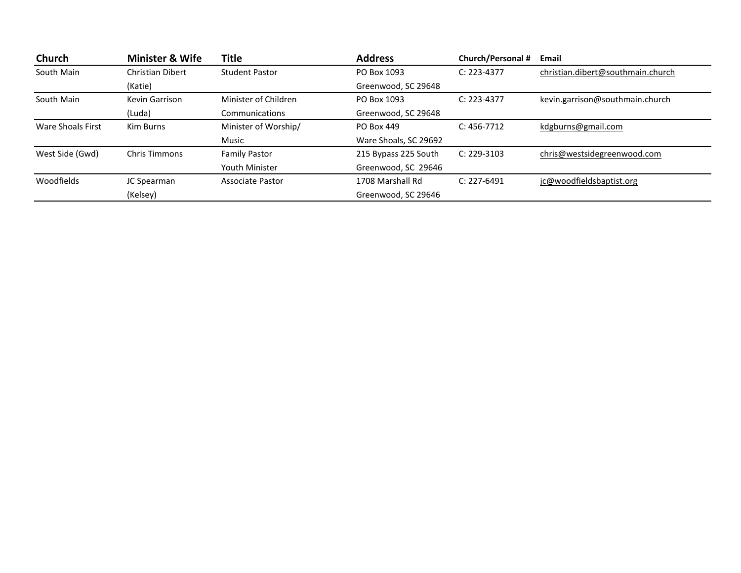| Church            | <b>Minister &amp; Wife</b> | Title                   | <b>Address</b>        | Church/Personal # | Email                             |
|-------------------|----------------------------|-------------------------|-----------------------|-------------------|-----------------------------------|
| South Main        | Christian Dibert           | <b>Student Pastor</b>   | PO Box 1093           | $C: 223 - 4377$   | christian.dibert@southmain.church |
|                   | (Katie)                    |                         | Greenwood, SC 29648   |                   |                                   |
| South Main        | Kevin Garrison             | Minister of Children    | PO Box 1093           | $C: 223 - 4377$   | kevin.garrison@southmain.church   |
|                   | (Luda)                     | Communications          | Greenwood, SC 29648   |                   |                                   |
| Ware Shoals First | Kim Burns                  | Minister of Worship/    | PO Box 449            | $C: 456 - 7712$   | kdgburns@gmail.com                |
|                   |                            | Music                   | Ware Shoals, SC 29692 |                   |                                   |
| West Side (Gwd)   | <b>Chris Timmons</b>       | <b>Family Pastor</b>    | 215 Bypass 225 South  | $C: 229-3103$     | chris@westsidegreenwood.com       |
|                   |                            | Youth Minister          | Greenwood, SC 29646   |                   |                                   |
| Woodfields        | JC Spearman                | <b>Associate Pastor</b> | 1708 Marshall Rd      | $C: 227 - 6491$   | jc@woodfieldsbaptist.org          |
|                   | (Kelsey)                   |                         | Greenwood, SC 29646   |                   |                                   |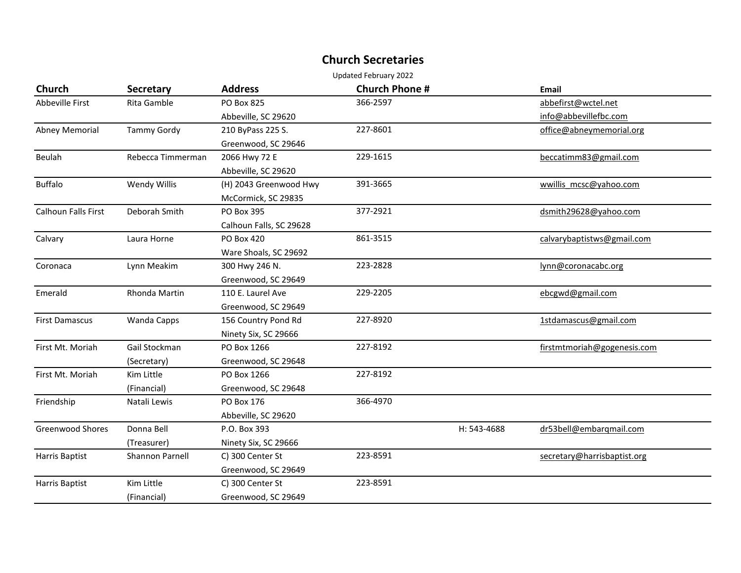## **Church Secretaries**

Updated February 2022

| <b>Church</b>              | <b>Secretary</b>   | <b>Address</b>          | <b>Church Phone #</b> |             | Email                       |
|----------------------------|--------------------|-------------------------|-----------------------|-------------|-----------------------------|
| Abbeville First            | Rita Gamble        | <b>PO Box 825</b>       | 366-2597              |             | abbefirst@wctel.net         |
|                            |                    | Abbeville, SC 29620     |                       |             | info@abbevillefbc.com       |
| <b>Abney Memorial</b>      | <b>Tammy Gordy</b> | 210 ByPass 225 S.       | 227-8601              |             | office@abneymemorial.org    |
|                            |                    | Greenwood, SC 29646     |                       |             |                             |
| Beulah                     | Rebecca Timmerman  | 2066 Hwy 72 E           | 229-1615              |             | beccatimm83@gmail.com       |
|                            |                    | Abbeville, SC 29620     |                       |             |                             |
| <b>Buffalo</b>             | Wendy Willis       | (H) 2043 Greenwood Hwy  | 391-3665              |             | wwillis mcsc@yahoo.com      |
|                            |                    | McCormick, SC 29835     |                       |             |                             |
| <b>Calhoun Falls First</b> | Deborah Smith      | <b>PO Box 395</b>       | 377-2921              |             | dsmith29628@yahoo.com       |
|                            |                    | Calhoun Falls, SC 29628 |                       |             |                             |
| Calvary                    | Laura Horne        | PO Box 420              | 861-3515              |             | calvarybaptistws@gmail.com  |
|                            |                    | Ware Shoals, SC 29692   |                       |             |                             |
| Coronaca                   | Lynn Meakim        | 300 Hwy 246 N.          | 223-2828              |             | lynn@coronacabc.org         |
|                            |                    | Greenwood, SC 29649     |                       |             |                             |
| Emerald                    | Rhonda Martin      | 110 E. Laurel Ave       | 229-2205              |             | ebcgwd@gmail.com            |
|                            |                    | Greenwood, SC 29649     |                       |             |                             |
| <b>First Damascus</b>      | Wanda Capps        | 156 Country Pond Rd     | 227-8920              |             | 1stdamascus@gmail.com       |
|                            |                    | Ninety Six, SC 29666    |                       |             |                             |
| First Mt. Moriah           | Gail Stockman      | PO Box 1266             | 227-8192              |             | firstmtmoriah@gogenesis.com |
|                            | (Secretary)        | Greenwood, SC 29648     |                       |             |                             |
| First Mt. Moriah           | Kim Little         | PO Box 1266             | 227-8192              |             |                             |
|                            | (Financial)        | Greenwood, SC 29648     |                       |             |                             |
| Friendship                 | Natali Lewis       | <b>PO Box 176</b>       | 366-4970              |             |                             |
|                            |                    | Abbeville, SC 29620     |                       |             |                             |
| <b>Greenwood Shores</b>    | Donna Bell         | P.O. Box 393            |                       | H: 543-4688 | dr53bell@embargmail.com     |
|                            | (Treasurer)        | Ninety Six, SC 29666    |                       |             |                             |
| Harris Baptist             | Shannon Parnell    | C) 300 Center St        | 223-8591              |             | secretary@harrisbaptist.org |
|                            |                    | Greenwood, SC 29649     |                       |             |                             |
| Harris Baptist             | Kim Little         | C) 300 Center St        | 223-8591              |             |                             |
|                            | (Financial)        | Greenwood, SC 29649     |                       |             |                             |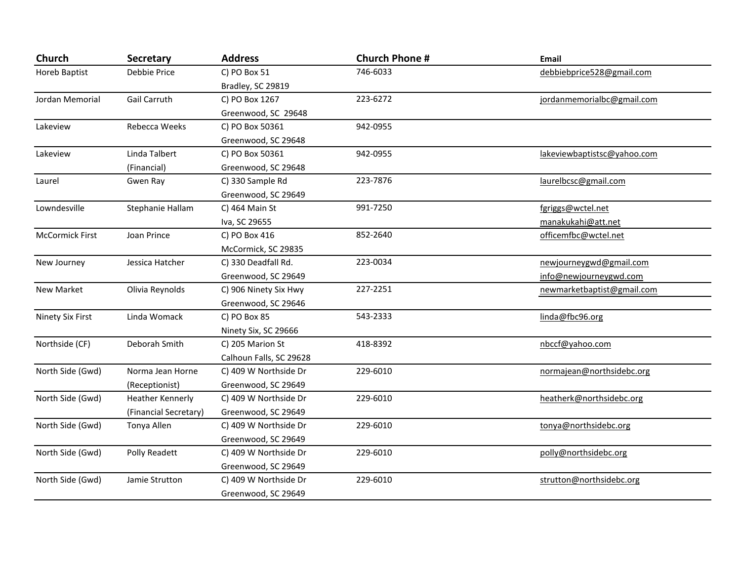| Church                 | <b>Secretary</b>      | <b>Address</b>          | <b>Church Phone #</b> | <b>Email</b>                |
|------------------------|-----------------------|-------------------------|-----------------------|-----------------------------|
| <b>Horeb Baptist</b>   | Debbie Price          | C) PO Box 51            | 746-6033              | debbiebprice528@gmail.com   |
|                        |                       | Bradley, SC 29819       |                       |                             |
| Jordan Memorial        | Gail Carruth          | C) PO Box 1267          | 223-6272              | jordanmemorialbc@gmail.com  |
|                        |                       | Greenwood, SC 29648     |                       |                             |
| Lakeview               | Rebecca Weeks         | C) PO Box 50361         | 942-0955              |                             |
|                        |                       | Greenwood, SC 29648     |                       |                             |
| Lakeview               | Linda Talbert         | C) PO Box 50361         | 942-0955              | lakeviewbaptistsc@yahoo.com |
|                        | (Financial)           | Greenwood, SC 29648     |                       |                             |
| Laurel                 | Gwen Ray              | C) 330 Sample Rd        | 223-7876              | laurelbcsc@gmail.com        |
|                        |                       | Greenwood, SC 29649     |                       |                             |
| Lowndesville           | Stephanie Hallam      | C) 464 Main St          | 991-7250              | fgriggs@wctel.net           |
|                        |                       | Iva, SC 29655           |                       | manakukahi@att.net          |
| <b>McCormick First</b> | Joan Prince           | C) PO Box 416           | 852-2640              | officemfbc@wctel.net        |
|                        |                       | McCormick, SC 29835     |                       |                             |
| New Journey            | Jessica Hatcher       | C) 330 Deadfall Rd.     | 223-0034              | newjourneygwd@gmail.com     |
|                        |                       | Greenwood, SC 29649     |                       | info@newjourneygwd.com      |
| New Market             | Olivia Reynolds       | C) 906 Ninety Six Hwy   | 227-2251              | newmarketbaptist@gmail.com  |
|                        |                       | Greenwood, SC 29646     |                       |                             |
| Ninety Six First       | Linda Womack          | C) PO Box 85            | 543-2333              | linda@fbc96.org             |
|                        |                       | Ninety Six, SC 29666    |                       |                             |
| Northside (CF)         | Deborah Smith         | C) 205 Marion St        | 418-8392              | nbccf@yahoo.com             |
|                        |                       | Calhoun Falls, SC 29628 |                       |                             |
| North Side (Gwd)       | Norma Jean Horne      | C) 409 W Northside Dr   | 229-6010              | normajean@northsidebc.org   |
|                        | (Receptionist)        | Greenwood, SC 29649     |                       |                             |
| North Side (Gwd)       | Heather Kennerly      | C) 409 W Northside Dr   | 229-6010              | heatherk@northsidebc.org    |
|                        | (Financial Secretary) | Greenwood, SC 29649     |                       |                             |
| North Side (Gwd)       | Tonya Allen           | C) 409 W Northside Dr   | 229-6010              | tonya@northsidebc.org       |
|                        |                       | Greenwood, SC 29649     |                       |                             |
| North Side (Gwd)       | Polly Readett         | C) 409 W Northside Dr   | 229-6010              | polly@northsidebc.org       |
|                        |                       | Greenwood, SC 29649     |                       |                             |
| North Side (Gwd)       | Jamie Strutton        | C) 409 W Northside Dr   | 229-6010              | strutton@northsidebc.org    |
|                        |                       | Greenwood, SC 29649     |                       |                             |